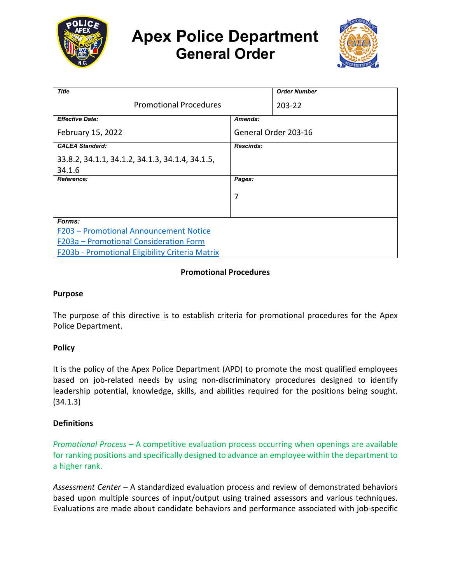

# **Apex Police Department General Order**



| <b>Title</b>                                    |                      | <b>Order Number</b> |
|-------------------------------------------------|----------------------|---------------------|
| <b>Promotional Procedures</b>                   |                      | 203-22              |
| <b>Effective Date:</b>                          | Amends:              |                     |
| February 15, 2022                               | General Order 203-16 |                     |
| <b>CALEA Standard:</b>                          | <b>Rescinds:</b>     |                     |
| 33.8.2, 34.1.1, 34.1.2, 34.1.3, 34.1.4, 34.1.5, |                      |                     |
| 34.1.6                                          |                      |                     |
| Reference:                                      | Pages:               |                     |
|                                                 | 7                    |                     |
|                                                 |                      |                     |
| Forms:                                          |                      |                     |
| F203 - Promotional Announcement Notice          |                      |                     |
| F203a - Promotional Consideration Form          |                      |                     |
| F203b - Promotional Eligibility Criteria Matrix |                      |                     |

## **Promotional Procedures**

#### **Purpose**

The purpose of this directive is to establish criteria for promotional procedures for the Apex Police Department.

#### **Policy**

It is the policy of the Apex Police Department (APD) to promote the most qualified employees based on job-related needs by using non-discriminatory procedures designed to identify leadership potential, knowledge, skills, and abilities required for the positions being sought. (34.1.3)

#### **Definitions**

*Promotional Process* – A competitive evaluation process occurring when openings are available for ranking positions and specifically designed to advance an employee within the department to a higher rank.

*Assessment Center* – A standardized evaluation process and review of demonstrated behaviors based upon multiple sources of input/output using trained assessors and various techniques. Evaluations are made about candidate behaviors and performance associated with job-specific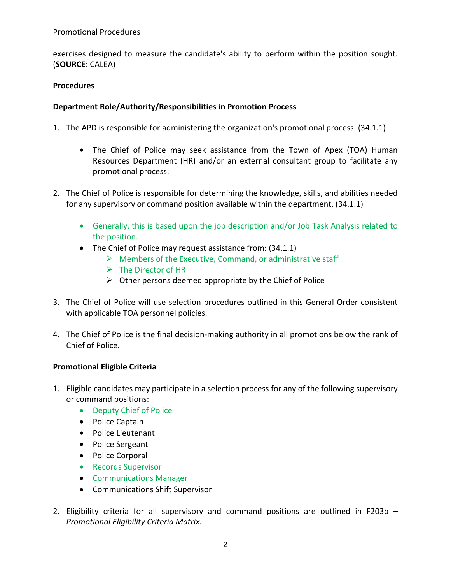exercises designed to measure the candidate's ability to perform within the position sought. (**SOURCE**: CALEA)

# **Procedures**

# **Department Role/Authority/Responsibilities in Promotion Process**

- 1. The APD is responsible for administering the organization's promotional process. (34.1.1)
	- The Chief of Police may seek assistance from the Town of Apex (TOA) Human Resources Department (HR) and/or an external consultant group to facilitate any promotional process.
- 2. The Chief of Police is responsible for determining the knowledge, skills, and abilities needed for any supervisory or command position available within the department. (34.1.1)
	- Generally, this is based upon the job description and/or Job Task Analysis related to the position.
	- The Chief of Police may request assistance from: (34.1.1)
		- $\triangleright$  Members of the Executive, Command, or administrative staff
		- $\triangleright$  The Director of HR
		- $\triangleright$  Other persons deemed appropriate by the Chief of Police
- 3. The Chief of Police will use selection procedures outlined in this General Order consistent with applicable TOA personnel policies.
- 4. The Chief of Police is the final decision-making authority in all promotions below the rank of Chief of Police.

# **Promotional Eligible Criteria**

- 1. Eligible candidates may participate in a selection process for any of the following supervisory or command positions:
	- Deputy Chief of Police
	- Police Captain
	- Police Lieutenant
	- Police Sergeant
	- Police Corporal
	- Records Supervisor
	- Communications Manager
	- Communications Shift Supervisor
- 2. Eligibility criteria for all supervisory and command positions are outlined in F203b *Promotional Eligibility Criteria Matrix*.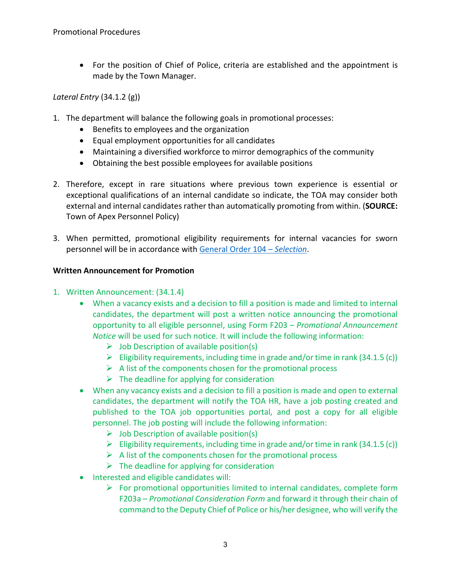• For the position of Chief of Police, criteria are established and the appointment is made by the Town Manager.

# *Lateral Entry* (34.1.2 (g))

- 1. The department will balance the following goals in promotional processes:
	- Benefits to employees and the organization
	- Equal employment opportunities for all candidates
	- Maintaining a diversified workforce to mirror demographics of the community
	- Obtaining the best possible employees for available positions
- 2. Therefore, except in rare situations where previous town experience is essential or exceptional qualifications of an internal candidate so indicate, the TOA may consider both external and internal candidates rather than automatically promoting from within. (**SOURCE:** Town of Apex Personnel Policy)
- 3. When permitted, promotional eligibility requirements for internal vacancies for sworn personnel will be in accordance wit[h General Order 104 –](https://powerdms.com/link/APEXPD/document/?id=442828) *Selection*.

## **Written Announcement for Promotion**

- 1. Written Announcement: (34.1.4)
	- When a vacancy exists and a decision to fill a position is made and limited to internal candidates, the department will post a written notice announcing the promotional opportunity to all eligible personnel, using Form F203 – *Promotional Announcement Notice* will be used for such notice. It will include the following information:
		- $\triangleright$  Job Description of available position(s)
		- $\triangleright$  Eligibility requirements, including time in grade and/or time in rank (34.1.5 (c))
		- $\triangleright$  A list of the components chosen for the promotional process
		- $\triangleright$  The deadline for applying for consideration
	- When any vacancy exists and a decision to fill a position is made and open to external candidates, the department will notify the TOA HR, have a job posting created and published to the TOA job opportunities portal, and post a copy for all eligible personnel. The job posting will include the following information:
		- $\triangleright$  Job Description of available position(s)
		- Eligibility requirements, including time in grade and/or time in rank (34.1.5 (c))
		- $\triangleright$  A list of the components chosen for the promotional process
		- $\triangleright$  The deadline for applying for consideration
	- Interested and eligible candidates will:
		- $\triangleright$  For promotional opportunities limited to internal candidates, complete form F203a – *Promotional Consideration Form* and forward it through their chain of command to the Deputy Chief of Police or his/her designee, who will verify the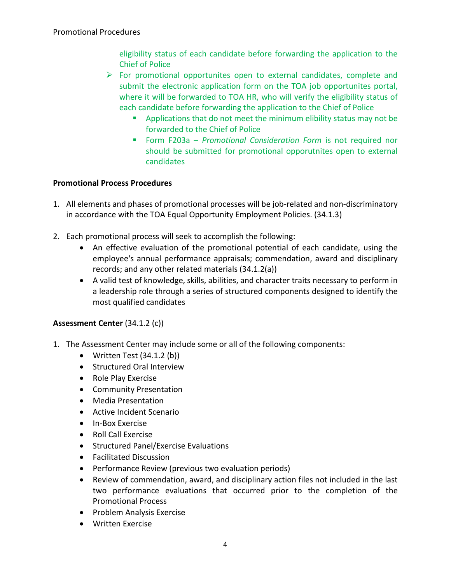eligibility status of each candidate before forwarding the application to the Chief of Police

- $\triangleright$  For promotional opportunites open to external candidates, complete and submit the electronic application form on the TOA job opportunites portal, where it will be forwarded to TOA HR, who will verify the eligibility status of each candidate before forwarding the application to the Chief of Police
	- Applications that do not meet the minimum elibility status may not be forwarded to the Chief of Police
	- Form F203a *Promotional Consideration Form* is not required nor should be submitted for promotional opporutnites open to external candidates

# **Promotional Process Procedures**

- 1. All elements and phases of promotional processes will be job-related and non-discriminatory in accordance with the TOA Equal Opportunity Employment Policies. (34.1.3)
- 2. Each promotional process will seek to accomplish the following:
	- An effective evaluation of the promotional potential of each candidate, using the employee's annual performance appraisals; commendation, award and disciplinary records; and any other related materials (34.1.2(a))
	- A valid test of knowledge, skills, abilities, and character traits necessary to perform in a leadership role through a series of structured components designed to identify the most qualified candidates

# **Assessment Center** (34.1.2 (c))

- 1. The Assessment Center may include some or all of the following components:
	- Written Test  $(34.1.2 \text{ (b)})$
	- Structured Oral Interview
	- Role Play Exercise
	- Community Presentation
	- Media Presentation
	- Active Incident Scenario
	- In-Box Exercise
	- Roll Call Exercise
	- Structured Panel/Exercise Evaluations
	- Facilitated Discussion
	- Performance Review (previous two evaluation periods)
	- Review of commendation, award, and disciplinary action files not included in the last two performance evaluations that occurred prior to the completion of the Promotional Process
	- Problem Analysis Exercise
	- Written Exercise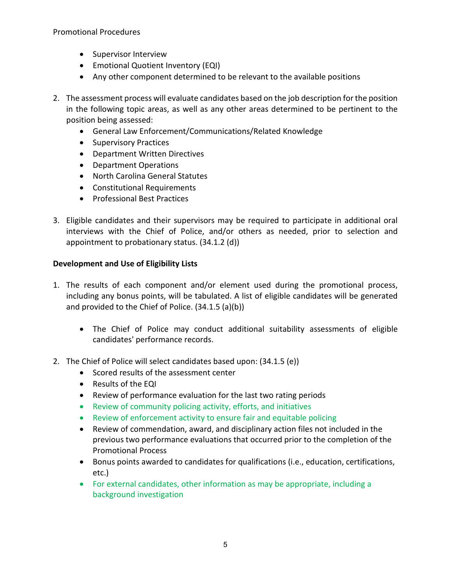Promotional Procedures

- Supervisor Interview
- Emotional Quotient Inventory (EQI)
- Any other component determined to be relevant to the available positions
- 2. The assessment process will evaluate candidates based on the job description for the position in the following topic areas, as well as any other areas determined to be pertinent to the position being assessed:
	- General Law Enforcement/Communications/Related Knowledge
	- Supervisory Practices
	- Department Written Directives
	- Department Operations
	- North Carolina General Statutes
	- Constitutional Requirements
	- Professional Best Practices
- 3. Eligible candidates and their supervisors may be required to participate in additional oral interviews with the Chief of Police, and/or others as needed, prior to selection and appointment to probationary status. (34.1.2 (d))

# **Development and Use of Eligibility Lists**

- 1. The results of each component and/or element used during the promotional process, including any bonus points, will be tabulated. A list of eligible candidates will be generated and provided to the Chief of Police. (34.1.5 (a)(b))
	- The Chief of Police may conduct additional suitability assessments of eligible candidates' performance records.
- 2. The Chief of Police will select candidates based upon: (34.1.5 (e))
	- Scored results of the assessment center
	- Results of the EQI
	- Review of performance evaluation for the last two rating periods
	- Review of community policing activity, efforts, and initiatives
	- Review of enforcement activity to ensure fair and equitable policing
	- Review of commendation, award, and disciplinary action files not included in the previous two performance evaluations that occurred prior to the completion of the Promotional Process
	- Bonus points awarded to candidates for qualifications (i.e., education, certifications, etc.)
	- For external candidates, other information as may be appropriate, including a background investigation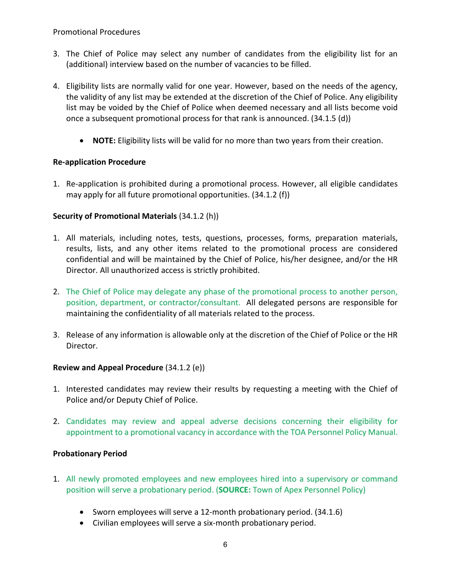#### Promotional Procedures

- 3. The Chief of Police may select any number of candidates from the eligibility list for an (additional) interview based on the number of vacancies to be filled.
- 4. Eligibility lists are normally valid for one year. However, based on the needs of the agency, the validity of any list may be extended at the discretion of the Chief of Police. Any eligibility list may be voided by the Chief of Police when deemed necessary and all lists become void once a subsequent promotional process for that rank is announced. (34.1.5 (d))
	- **NOTE:** Eligibility lists will be valid for no more than two years from their creation.

## **Re-application Procedure**

1. Re-application is prohibited during a promotional process. However, all eligible candidates may apply for all future promotional opportunities. (34.1.2 (f))

## **Security of Promotional Materials** (34.1.2 (h))

- 1. All materials, including notes, tests, questions, processes, forms, preparation materials, results, lists, and any other items related to the promotional process are considered confidential and will be maintained by the Chief of Police, his/her designee, and/or the HR Director. All unauthorized access is strictly prohibited.
- 2. The Chief of Police may delegate any phase of the promotional process to another person, position, department, or contractor/consultant. All delegated persons are responsible for maintaining the confidentiality of all materials related to the process.
- 3. Release of any information is allowable only at the discretion of the Chief of Police or the HR Director.

#### **Review and Appeal Procedure** (34.1.2 (e))

- 1. Interested candidates may review their results by requesting a meeting with the Chief of Police and/or Deputy Chief of Police.
- 2. Candidates may review and appeal adverse decisions concerning their eligibility for appointment to a promotional vacancy in accordance with the TOA Personnel Policy Manual.

#### **Probationary Period**

- 1. All newly promoted employees and new employees hired into a supervisory or command position will serve a probationary period. (**SOURCE:** Town of Apex Personnel Policy)
	- Sworn employees will serve a 12-month probationary period. (34.1.6)
	- Civilian employees will serve a six-month probationary period.